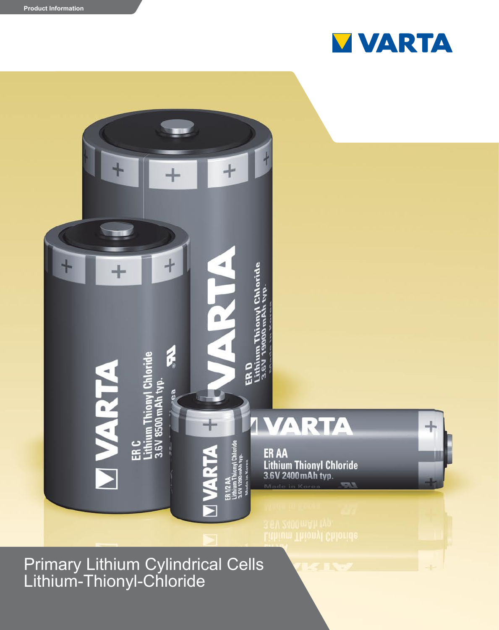



Primary Lithium Cylindrical Cells Lithium-Thionyl-Chloride